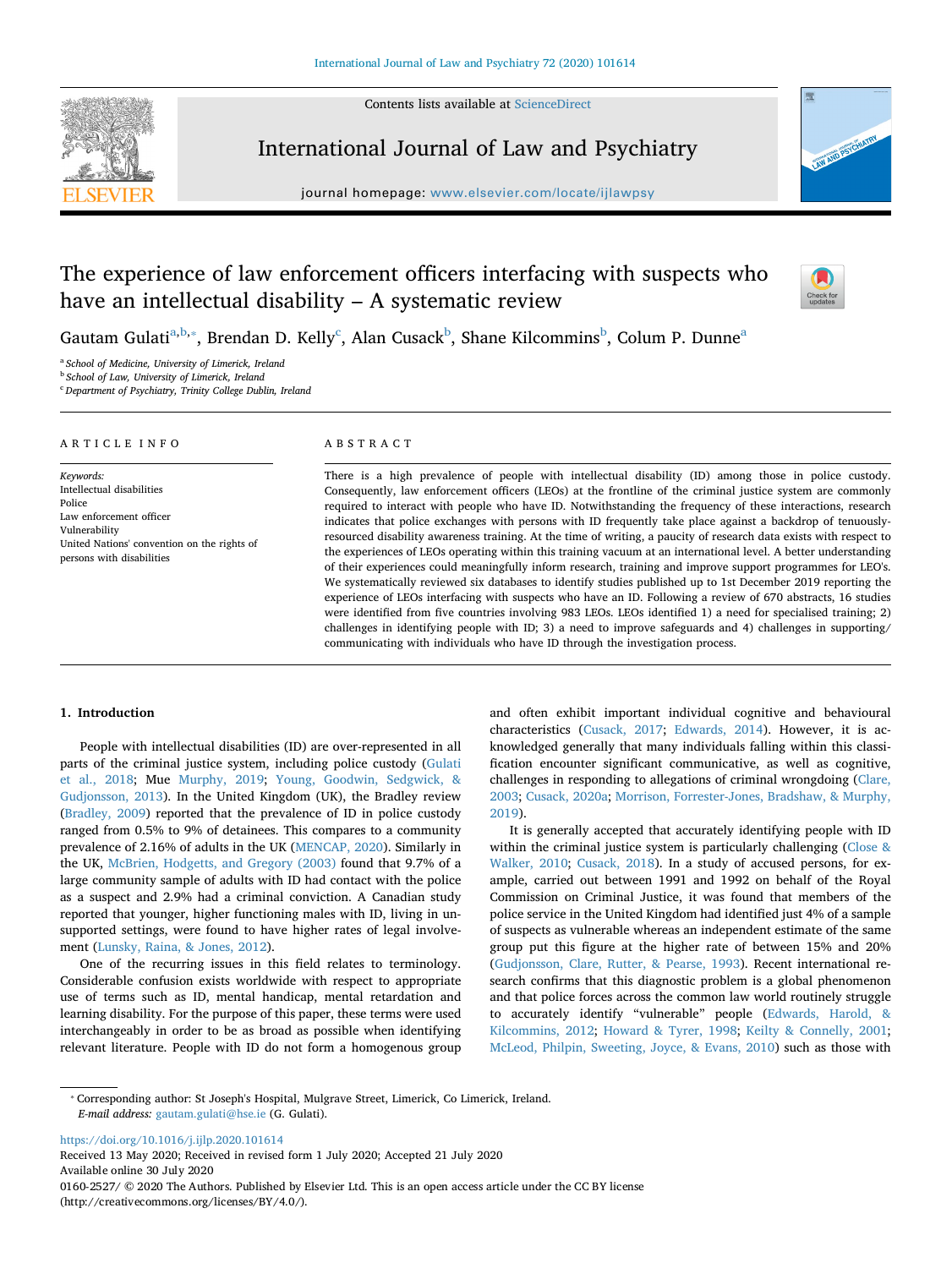Contents lists available at [ScienceDirect](http://www.sciencedirect.com/science/journal/01602527)



## International Journal of Law and Psychiatry

journal homepage: [www.elsevier.com/locate/ijlawpsy](https://www.elsevier.com/locate/ijlawpsy)



# The experience of law enforcement officers interfacing with suspects who have an intellectual disability – A systematic review



Gautam Gulati<sup>a,[b](#page-0-1),</sup>\*, Brendan D. Kelly<sup>[c](#page-0-3)</sup>, Alan Cusack<sup>b</sup>, Shane Kilcommins<sup>b</sup>, Colum P. Dunne<sup>a</sup>

<span id="page-0-0"></span><sup>a</sup> *School of Medicine, University of Limerick, Ireland*

<span id="page-0-1"></span><sup>b</sup> *School of Law, University of Limerick, Ireland*

<span id="page-0-3"></span><sup>c</sup> *Department of Psychiatry, Trinity College Dublin, Ireland*

#### ARTICLE INFO

*Keywords:* Intellectual disabilities Police Law enforcement officer Vulnerability United Nations' convention on the rights of persons with disabilities

## ABSTRACT

There is a high prevalence of people with intellectual disability (ID) among those in police custody. Consequently, law enforcement officers (LEOs) at the frontline of the criminal justice system are commonly required to interact with people who have ID. Notwithstanding the frequency of these interactions, research indicates that police exchanges with persons with ID frequently take place against a backdrop of tenuouslyresourced disability awareness training. At the time of writing, a paucity of research data exists with respect to the experiences of LEOs operating within this training vacuum at an international level. A better understanding of their experiences could meaningfully inform research, training and improve support programmes for LEO's. We systematically reviewed six databases to identify studies published up to 1st December 2019 reporting the experience of LEOs interfacing with suspects who have an ID. Following a review of 670 abstracts, 16 studies were identified from five countries involving 983 LEOs. LEOs identified 1) a need for specialised training; 2) challenges in identifying people with ID; 3) a need to improve safeguards and 4) challenges in supporting/ communicating with individuals who have ID through the investigation process.

#### **1. Introduction**

People with intellectual disabilities (ID) are over-represented in all parts of the criminal justice system, including police custody [\(Gulati](#page-8-0) [et al., 2018;](#page-8-0) Mue [Murphy, 2019](#page-8-1); [Young, Goodwin, Sedgwick, &](#page-9-0) [Gudjonsson, 2013](#page-9-0)). In the United Kingdom (UK), the Bradley review ([Bradley, 2009](#page-7-0)) reported that the prevalence of ID in police custody ranged from 0.5% to 9% of detainees. This compares to a community prevalence of 2.16% of adults in the UK ([MENCAP, 2020\)](#page-8-2). Similarly in the UK, [McBrien, Hodgetts, and Gregory \(2003\)](#page-8-3) found that 9.7% of a large community sample of adults with ID had contact with the police as a suspect and 2.9% had a criminal conviction. A Canadian study reported that younger, higher functioning males with ID, living in unsupported settings, were found to have higher rates of legal involvement [\(Lunsky, Raina, & Jones, 2012\)](#page-8-4).

One of the recurring issues in this field relates to terminology. Considerable confusion exists worldwide with respect to appropriate use of terms such as ID, mental handicap, mental retardation and learning disability. For the purpose of this paper, these terms were used interchangeably in order to be as broad as possible when identifying relevant literature. People with ID do not form a homogenous group and often exhibit important individual cognitive and behavioural characteristics [\(Cusack, 2017](#page-8-5); [Edwards, 2014\)](#page-8-6). However, it is acknowledged generally that many individuals falling within this classification encounter significant communicative, as well as cognitive, challenges in responding to allegations of criminal wrongdoing ([Clare,](#page-8-7) [2003;](#page-8-7) [Cusack, 2020a;](#page-8-8) [Morrison, Forrester-Jones, Bradshaw, & Murphy,](#page-8-9) [2019\)](#page-8-9).

It is generally accepted that accurately identifying people with ID within the criminal justice system is particularly challenging [\(Close &](#page-8-10) [Walker, 2010](#page-8-10); [Cusack, 2018\)](#page-8-11). In a study of accused persons, for example, carried out between 1991 and 1992 on behalf of the Royal Commission on Criminal Justice, it was found that members of the police service in the United Kingdom had identified just 4% of a sample of suspects as vulnerable whereas an independent estimate of the same group put this figure at the higher rate of between 15% and 20% ([Gudjonsson, Clare, Rutter, & Pearse, 1993](#page-8-12)). Recent international research confirms that this diagnostic problem is a global phenomenon and that police forces across the common law world routinely struggle to accurately identify "vulnerable" people [\(Edwards, Harold, &](#page-8-13) [Kilcommins, 2012;](#page-8-13) [Howard & Tyrer, 1998](#page-8-14); [Keilty & Connelly, 2001](#page-8-15); [McLeod, Philpin, Sweeting, Joyce, & Evans, 2010\)](#page-8-16) such as those with

<https://doi.org/10.1016/j.ijlp.2020.101614> Received 13 May 2020; Received in revised form 1 July 2020; Accepted 21 July 2020 Available online 30 July 2020 0160-2527/ © 2020 The Authors. Published by Elsevier Ltd. This is an open access article under the CC BY license (http://creativecommons.org/licenses/BY/4.0/).

<span id="page-0-2"></span><sup>⁎</sup> Corresponding author: St Joseph's Hospital, Mulgrave Street, Limerick, Co Limerick, Ireland. *E-mail address:* [gautam.gulati@hse.ie](mailto:gautam.gulati@hse.ie) (G. Gulati).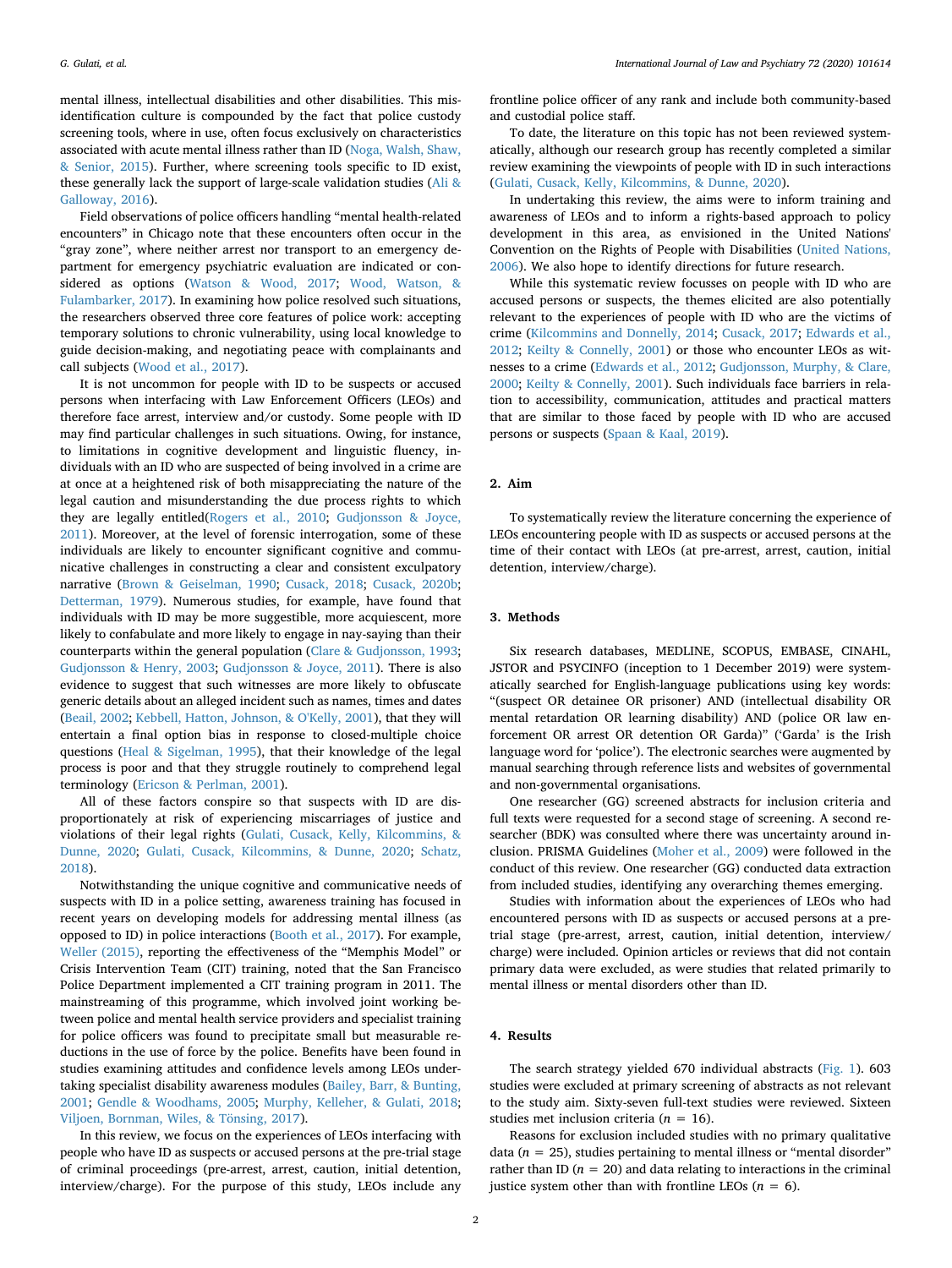mental illness, intellectual disabilities and other disabilities. This misidentification culture is compounded by the fact that police custody screening tools, where in use, often focus exclusively on characteristics associated with acute mental illness rather than ID [\(Noga, Walsh, Shaw,](#page-8-17) [& Senior, 2015](#page-8-17)). Further, where screening tools specific to ID exist, these generally lack the support of large-scale validation studies [\(Ali &](#page-7-1) [Galloway, 2016\)](#page-7-1).

Field observations of police officers handling "mental health-related encounters" in Chicago note that these encounters often occur in the "gray zone", where neither arrest nor transport to an emergency department for emergency psychiatric evaluation are indicated or considered as options ([Watson & Wood, 2017](#page-8-18); [Wood, Watson, &](#page-8-19) [Fulambarker, 2017](#page-8-19)). In examining how police resolved such situations, the researchers observed three core features of police work: accepting temporary solutions to chronic vulnerability, using local knowledge to guide decision-making, and negotiating peace with complainants and call subjects [\(Wood et al., 2017](#page-8-19)).

It is not uncommon for people with ID to be suspects or accused persons when interfacing with Law Enforcement Officers (LEOs) and therefore face arrest, interview and/or custody. Some people with ID may find particular challenges in such situations. Owing, for instance, to limitations in cognitive development and linguistic fluency, individuals with an ID who are suspected of being involved in a crime are at once at a heightened risk of both misappreciating the nature of the legal caution and misunderstanding the due process rights to which they are legally entitled[\(Rogers et al., 2010](#page-8-20); [Gudjonsson & Joyce,](#page-8-21) [2011\)](#page-8-21). Moreover, at the level of forensic interrogation, some of these individuals are likely to encounter significant cognitive and communicative challenges in constructing a clear and consistent exculpatory narrative [\(Brown & Geiselman, 1990;](#page-7-2) [Cusack, 2018](#page-8-11); [Cusack, 2020b](#page-8-22); [Detterman, 1979](#page-8-23)). Numerous studies, for example, have found that individuals with ID may be more suggestible, more acquiescent, more likely to confabulate and more likely to engage in nay-saying than their counterparts within the general population ([Clare & Gudjonsson, 1993](#page-8-24); [Gudjonsson & Henry, 2003;](#page-8-25) [Gudjonsson & Joyce, 2011](#page-8-21)). There is also evidence to suggest that such witnesses are more likely to obfuscate generic details about an alleged incident such as names, times and dates ([Beail, 2002;](#page-7-3) [Kebbell, Hatton, Johnson, & O'Kelly, 2001\)](#page-8-26), that they will entertain a final option bias in response to closed-multiple choice questions ([Heal & Sigelman, 1995\)](#page-8-27), that their knowledge of the legal process is poor and that they struggle routinely to comprehend legal terminology [\(Ericson & Perlman, 2001](#page-8-28)).

All of these factors conspire so that suspects with ID are disproportionately at risk of experiencing miscarriages of justice and violations of their legal rights ([Gulati, Cusack, Kelly, Kilcommins, &](#page-8-29) [Dunne, 2020](#page-8-29); [Gulati, Cusack, Kilcommins, & Dunne, 2020;](#page-8-30) [Schatz,](#page-8-31) [2018\)](#page-8-31).

Notwithstanding the unique cognitive and communicative needs of suspects with ID in a police setting, awareness training has focused in recent years on developing models for addressing mental illness (as opposed to ID) in police interactions ([Booth et al., 2017](#page-7-4)). For example, [Weller \(2015\),](#page-8-32) reporting the effectiveness of the "Memphis Model" or Crisis Intervention Team (CIT) training, noted that the San Francisco Police Department implemented a CIT training program in 2011. The mainstreaming of this programme, which involved joint working between police and mental health service providers and specialist training for police officers was found to precipitate small but measurable reductions in the use of force by the police. Benefits have been found in studies examining attitudes and confidence levels among LEOs undertaking specialist disability awareness modules ([Bailey, Barr, & Bunting,](#page-7-5) [2001;](#page-7-5) [Gendle & Woodhams, 2005;](#page-8-33) [Murphy, Kelleher, & Gulati, 2018](#page-8-34); [Viljoen, Bornman, Wiles, & Tönsing, 2017\)](#page-8-35).

In this review, we focus on the experiences of LEOs interfacing with people who have ID as suspects or accused persons at the pre-trial stage of criminal proceedings (pre-arrest, arrest, caution, initial detention, interview/charge). For the purpose of this study, LEOs include any

frontline police officer of any rank and include both community-based and custodial police staff.

To date, the literature on this topic has not been reviewed systematically, although our research group has recently completed a similar review examining the viewpoints of people with ID in such interactions ([Gulati, Cusack, Kelly, Kilcommins, & Dunne, 2020](#page-8-29)).

In undertaking this review, the aims were to inform training and awareness of LEOs and to inform a rights-based approach to policy development in this area, as envisioned in the United Nations' Convention on the Rights of People with Disabilities ([United Nations,](#page-9-1) [2006\)](#page-9-1). We also hope to identify directions for future research.

While this systematic review focusses on people with ID who are accused persons or suspects, the themes elicited are also potentially relevant to the experiences of people with ID who are the victims of crime [\(Kilcommins and Donnelly, 2014;](#page-8-36) [Cusack, 2017;](#page-8-5) [Edwards et al.,](#page-8-13) [2012;](#page-8-13) [Keilty & Connelly, 2001](#page-8-15)) or those who encounter LEOs as witnesses to a crime ([Edwards et al., 2012;](#page-8-13) [Gudjonsson, Murphy, & Clare,](#page-8-37) [2000;](#page-8-37) [Keilty & Connelly, 2001](#page-8-15)). Such individuals face barriers in relation to accessibility, communication, attitudes and practical matters that are similar to those faced by people with ID who are accused persons or suspects ([Spaan & Kaal, 2019](#page-8-38)).

### **2. Aim**

To systematically review the literature concerning the experience of LEOs encountering people with ID as suspects or accused persons at the time of their contact with LEOs (at pre-arrest, arrest, caution, initial detention, interview/charge).

## **3. Methods**

Six research databases, MEDLINE, SCOPUS, EMBASE, CINAHL, JSTOR and PSYCINFO (inception to 1 December 2019) were systematically searched for English-language publications using key words: "(suspect OR detainee OR prisoner) AND (intellectual disability OR mental retardation OR learning disability) AND (police OR law enforcement OR arrest OR detention OR Garda)" ('Garda' is the Irish language word for 'police'). The electronic searches were augmented by manual searching through reference lists and websites of governmental and non-governmental organisations.

One researcher (GG) screened abstracts for inclusion criteria and full texts were requested for a second stage of screening. A second researcher (BDK) was consulted where there was uncertainty around inclusion. PRISMA Guidelines [\(Moher et al., 2009\)](#page-8-39) were followed in the conduct of this review. One researcher (GG) conducted data extraction from included studies, identifying any overarching themes emerging.

Studies with information about the experiences of LEOs who had encountered persons with ID as suspects or accused persons at a pretrial stage (pre-arrest, arrest, caution, initial detention, interview/ charge) were included. Opinion articles or reviews that did not contain primary data were excluded, as were studies that related primarily to mental illness or mental disorders other than ID.

#### **4. Results**

The search strategy yielded 670 individual abstracts ([Fig. 1\)](#page-2-0). 603 studies were excluded at primary screening of abstracts as not relevant to the study aim. Sixty-seven full-text studies were reviewed. Sixteen studies met inclusion criteria (*n* = 16).

Reasons for exclusion included studies with no primary qualitative data ( $n = 25$ ), studies pertaining to mental illness or "mental disorder" rather than ID ( $n = 20$ ) and data relating to interactions in the criminal justice system other than with frontline LEOs ( $n = 6$ ).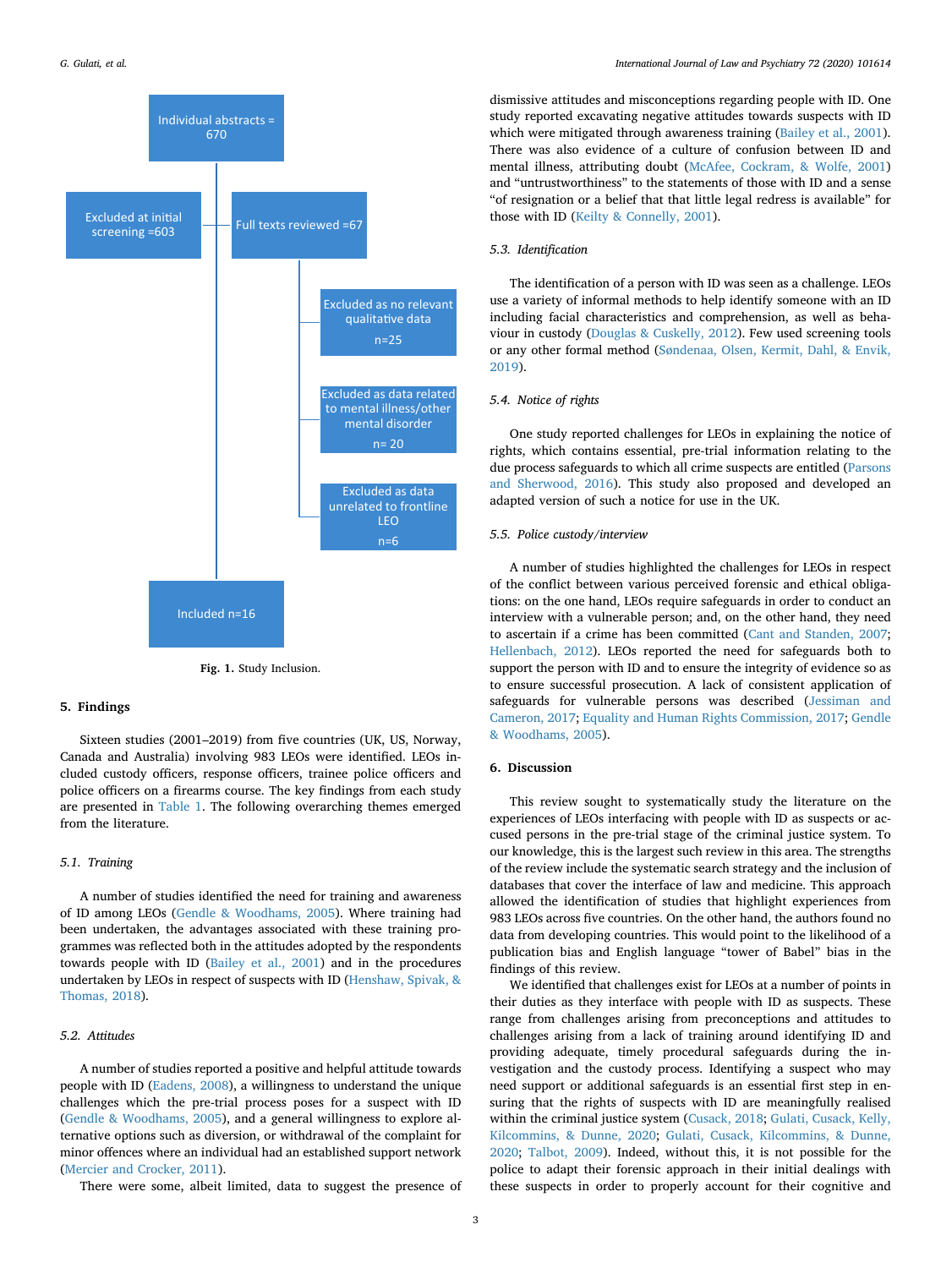<span id="page-2-0"></span>

**Fig. 1.** Study Inclusion.

#### **5. Findings**

Sixteen studies (2001–2019) from five countries (UK, US, Norway, Canada and Australia) involving 983 LEOs were identified. LEOs included custody officers, response officers, trainee police officers and police officers on a firearms course. The key findings from each study are presented in [Table 1](#page-3-0). The following overarching themes emerged from the literature.

### *5.1. Training*

A number of studies identified the need for training and awareness of ID among LEOs [\(Gendle & Woodhams, 2005\)](#page-8-33). Where training had been undertaken, the advantages associated with these training programmes was reflected both in the attitudes adopted by the respondents towards people with ID ([Bailey et al., 2001](#page-7-5)) and in the procedures undertaken by LEOs in respect of suspects with ID [\(Henshaw, Spivak, &](#page-8-40) [Thomas, 2018](#page-8-40)).

## *5.2. Attitudes*

A number of studies reported a positive and helpful attitude towards people with ID ([Eadens, 2008](#page-8-41)), a willingness to understand the unique challenges which the pre-trial process poses for a suspect with ID ([Gendle & Woodhams, 2005\)](#page-8-33), and a general willingness to explore alternative options such as diversion, or withdrawal of the complaint for minor offences where an individual had an established support network ([Mercier and Crocker, 2011](#page-8-42)).

There were some, albeit limited, data to suggest the presence of

3

dismissive attitudes and misconceptions regarding people with ID. One study reported excavating negative attitudes towards suspects with ID which were mitigated through awareness training [\(Bailey et al., 2001](#page-7-5)). There was also evidence of a culture of confusion between ID and mental illness, attributing doubt [\(McAfee, Cockram, & Wolfe, 2001\)](#page-8-43) and "untrustworthiness" to the statements of those with ID and a sense "of resignation or a belief that that little legal redress is available" for those with ID [\(Keilty & Connelly, 2001](#page-8-15)).

## *5.3. Identification*

The identification of a person with ID was seen as a challenge. LEOs use a variety of informal methods to help identify someone with an ID including facial characteristics and comprehension, as well as behaviour in custody ([Douglas & Cuskelly, 2012](#page-8-44)). Few used screening tools or any other formal method [\(Søndenaa, Olsen, Kermit, Dahl, & Envik,](#page-8-45) [2019\)](#page-8-45).

#### *5.4. Notice of rights*

One study reported challenges for LEOs in explaining the notice of rights, which contains essential, pre-trial information relating to the due process safeguards to which all crime suspects are entitled ([Parsons](#page-8-46) [and Sherwood, 2016\)](#page-8-46). This study also proposed and developed an adapted version of such a notice for use in the UK.

#### *5.5. Police custody/interview*

A number of studies highlighted the challenges for LEOs in respect of the conflict between various perceived forensic and ethical obligations: on the one hand, LEOs require safeguards in order to conduct an interview with a vulnerable person; and, on the other hand, they need to ascertain if a crime has been committed [\(Cant and Standen, 2007](#page-8-47); [Hellenbach, 2012\)](#page-8-48). LEOs reported the need for safeguards both to support the person with ID and to ensure the integrity of evidence so as to ensure successful prosecution. A lack of consistent application of safeguards for vulnerable persons was described [\(Jessiman and](#page-8-49) [Cameron, 2017;](#page-8-49) [Equality and Human Rights Commission, 2017;](#page-8-50) [Gendle](#page-8-33) [& Woodhams, 2005\)](#page-8-33).

#### **6. Discussion**

This review sought to systematically study the literature on the experiences of LEOs interfacing with people with ID as suspects or accused persons in the pre-trial stage of the criminal justice system. To our knowledge, this is the largest such review in this area. The strengths of the review include the systematic search strategy and the inclusion of databases that cover the interface of law and medicine. This approach allowed the identification of studies that highlight experiences from 983 LEOs across five countries. On the other hand, the authors found no data from developing countries. This would point to the likelihood of a publication bias and English language "tower of Babel" bias in the findings of this review.

We identified that challenges exist for LEOs at a number of points in their duties as they interface with people with ID as suspects. These range from challenges arising from preconceptions and attitudes to challenges arising from a lack of training around identifying ID and providing adequate, timely procedural safeguards during the investigation and the custody process. Identifying a suspect who may need support or additional safeguards is an essential first step in ensuring that the rights of suspects with ID are meaningfully realised within the criminal justice system ([Cusack, 2018;](#page-8-11) [Gulati, Cusack, Kelly,](#page-8-29) [Kilcommins, & Dunne, 2020;](#page-8-29) [Gulati, Cusack, Kilcommins, & Dunne,](#page-8-30) [2020;](#page-8-30) [Talbot, 2009](#page-8-51)). Indeed, without this, it is not possible for the police to adapt their forensic approach in their initial dealings with these suspects in order to properly account for their cognitive and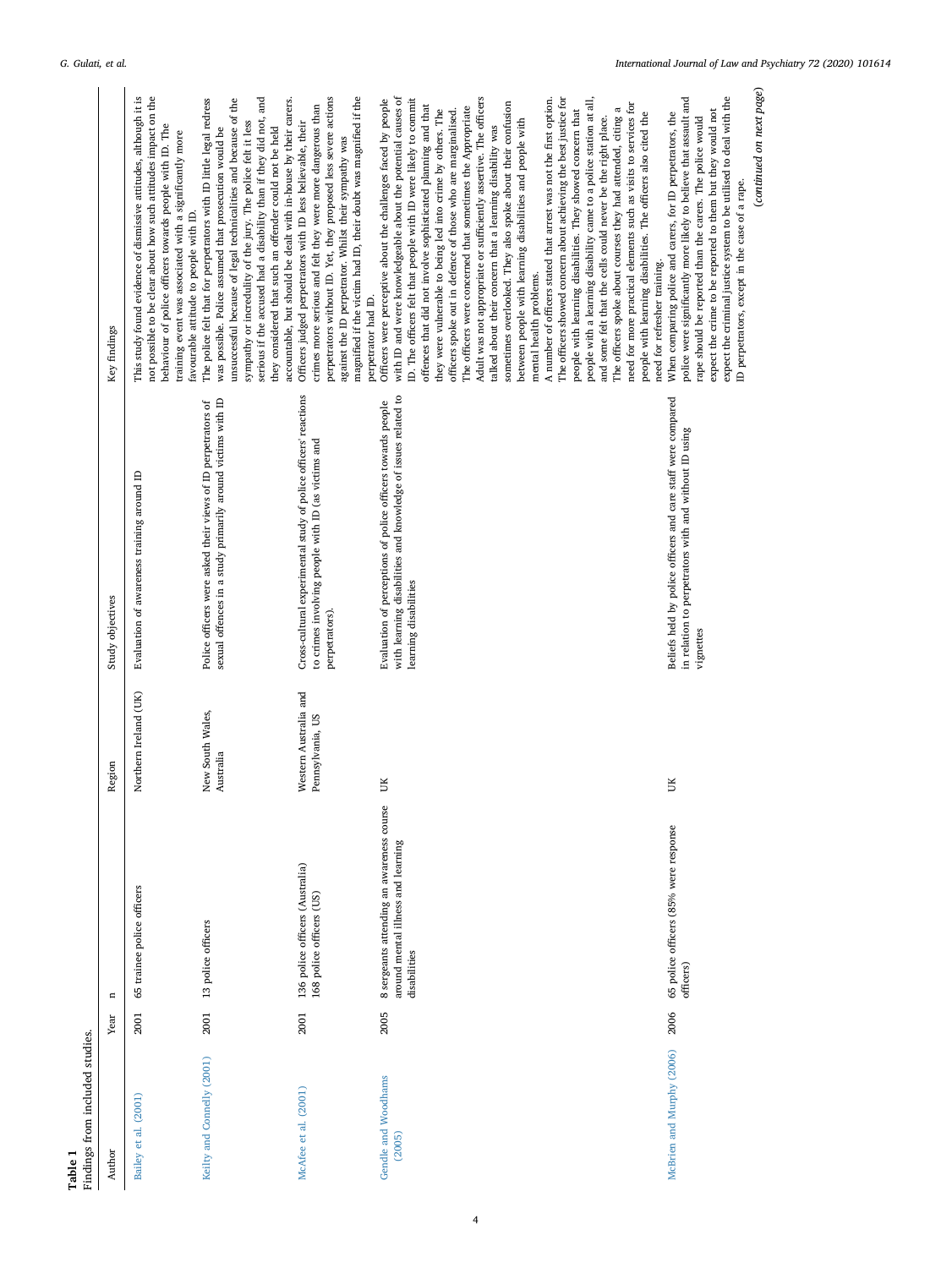| included studies<br>$rom_1$ | ear |
|-----------------------------|-----|
| $-1$ 85<br>ndinc            |     |

<span id="page-3-0"></span>

| Findings from included studies.<br>Table 1 |      |                                                                                                 |                                           |                                                                                                                                                       |                                                                                                                                                                                                                                                                                                                                                                                                                                                                                                                                                                                                                                                                                                                                                                                                                                                                                                                                                                                                                                                                                                                                                                                                                                                                                                                                               |
|--------------------------------------------|------|-------------------------------------------------------------------------------------------------|-------------------------------------------|-------------------------------------------------------------------------------------------------------------------------------------------------------|-----------------------------------------------------------------------------------------------------------------------------------------------------------------------------------------------------------------------------------------------------------------------------------------------------------------------------------------------------------------------------------------------------------------------------------------------------------------------------------------------------------------------------------------------------------------------------------------------------------------------------------------------------------------------------------------------------------------------------------------------------------------------------------------------------------------------------------------------------------------------------------------------------------------------------------------------------------------------------------------------------------------------------------------------------------------------------------------------------------------------------------------------------------------------------------------------------------------------------------------------------------------------------------------------------------------------------------------------|
| Author                                     | Year | $\mathbf{u}$                                                                                    | Region                                    | Study objectives                                                                                                                                      | Key findings                                                                                                                                                                                                                                                                                                                                                                                                                                                                                                                                                                                                                                                                                                                                                                                                                                                                                                                                                                                                                                                                                                                                                                                                                                                                                                                                  |
| Bailey et al. (2001)                       | 2001 | 65 trainee police officers                                                                      | Northern Ireland (UK)                     | Evaluation of awareness training around ID                                                                                                            | This study found evidence of dismissive attitudes, although it is<br>not possible to be clear about how such attitudes impact on the<br>behaviour of police officers towards people with ID. The<br>training event was associated with a significantly more<br>favourable attitude to people with ID.                                                                                                                                                                                                                                                                                                                                                                                                                                                                                                                                                                                                                                                                                                                                                                                                                                                                                                                                                                                                                                         |
| Keilty and Connelly (2001)                 | 2001 | 13 police officers                                                                              | New South Wales,<br>Australia             | sexual offences in a study primarily around victims with ID<br>Police officers were asked their views of ID perpetrators of                           | serious if the accused had a disability than if they did not, and<br>unsuccessful because of legal technicalities and because of the<br>The police felt that for perpetrators with ID little legal redress<br>accountable, but should be dealt with in-house by their carers.<br>sympathy or incredulity of the jury. The police felt it less<br>was possible. Police assumed that prosecution would be<br>they considered that such an offender could not be held                                                                                                                                                                                                                                                                                                                                                                                                                                                                                                                                                                                                                                                                                                                                                                                                                                                                            |
| McAfee et al. (2001)                       | 2001 | 136 police officers (Australia)<br>168 police officers (US)                                     | Western Australia and<br>Pennsylvania, US | Cross-cultural experimental study of police officers' reactions<br>to crimes involving people with ID (as victims and<br>perpetrators).               | perpetrators without ID. Yet, they proposed less severe actions<br>magnified if the victim had ID, their doubt was magnified if the<br>crimes more serious and felt they were more dangerous than<br>Officers judged perpetrators with ID less believable, their<br>against the ID perpetrator. Whilst their sympathy was<br>perpetrator had ID.                                                                                                                                                                                                                                                                                                                                                                                                                                                                                                                                                                                                                                                                                                                                                                                                                                                                                                                                                                                              |
| Gendle and Woodhams<br>(2005)              | 2005 | 8 sergeants attending an awareness course<br>around mental illness and learning<br>disabilities | UK                                        | with learning disabilities and knowledge of issues related to<br>Evaluation of perceptions of police officers towards people<br>learning disabilities | with ID and were knowledgeable about the potential causes of<br>ID. The officers felt that people with ID were likely to commit<br>Adult was not appropriate or sufficiently assertive. The officers<br>The officers showed concern about achieving the best justice for<br>A number of officers stated that arrest was not the first option.<br>people with a learning disability came to a police station at all,<br>Officers were perceptive about the challenges faced by people<br>sometimes overlooked. They also spoke about their confusion<br>need for more practical elements such as visits to services for<br>offences that did not involve sophisticated planning and that<br>The officers were concerned that sometimes the Appropriate<br>J<br>they were vulnerable to being led into crime by others. The<br>officers spoke out in defence of those who are marginalised.<br>people with learning disabilities. They showed concern that<br>people with learning disabilities. The officers also cited the<br>and some felt that the cells could never be the right place.<br>The officers spoke about courses they had attended, citing<br>between people with learning disabilities and people with<br>talked about their concern that a learning disability was<br>need for refresher training.<br>mental health problems. |
| McBrien and Murphy (2006)                  | 2006 | 65 police officers (85% were response<br>officers)                                              | ŬK                                        | Beliefs held by police officers and care staff were compared<br>in relation to perpetrators with and without ID using<br>vignettes                    | police were significantly more likely to believe that assault and<br>expect the criminal justice system to be utilised to deal with the<br>expect the crime to be reported to them but they would not<br>When comparing police and carers, for ID perpetrators, the<br>rape should be reported than the carers. The police would<br>ID perpetrators, except in the case of a rape.                                                                                                                                                                                                                                                                                                                                                                                                                                                                                                                                                                                                                                                                                                                                                                                                                                                                                                                                                            |

4

(*continued on next page*)

 $\left( {continued~on~next~page} \right)$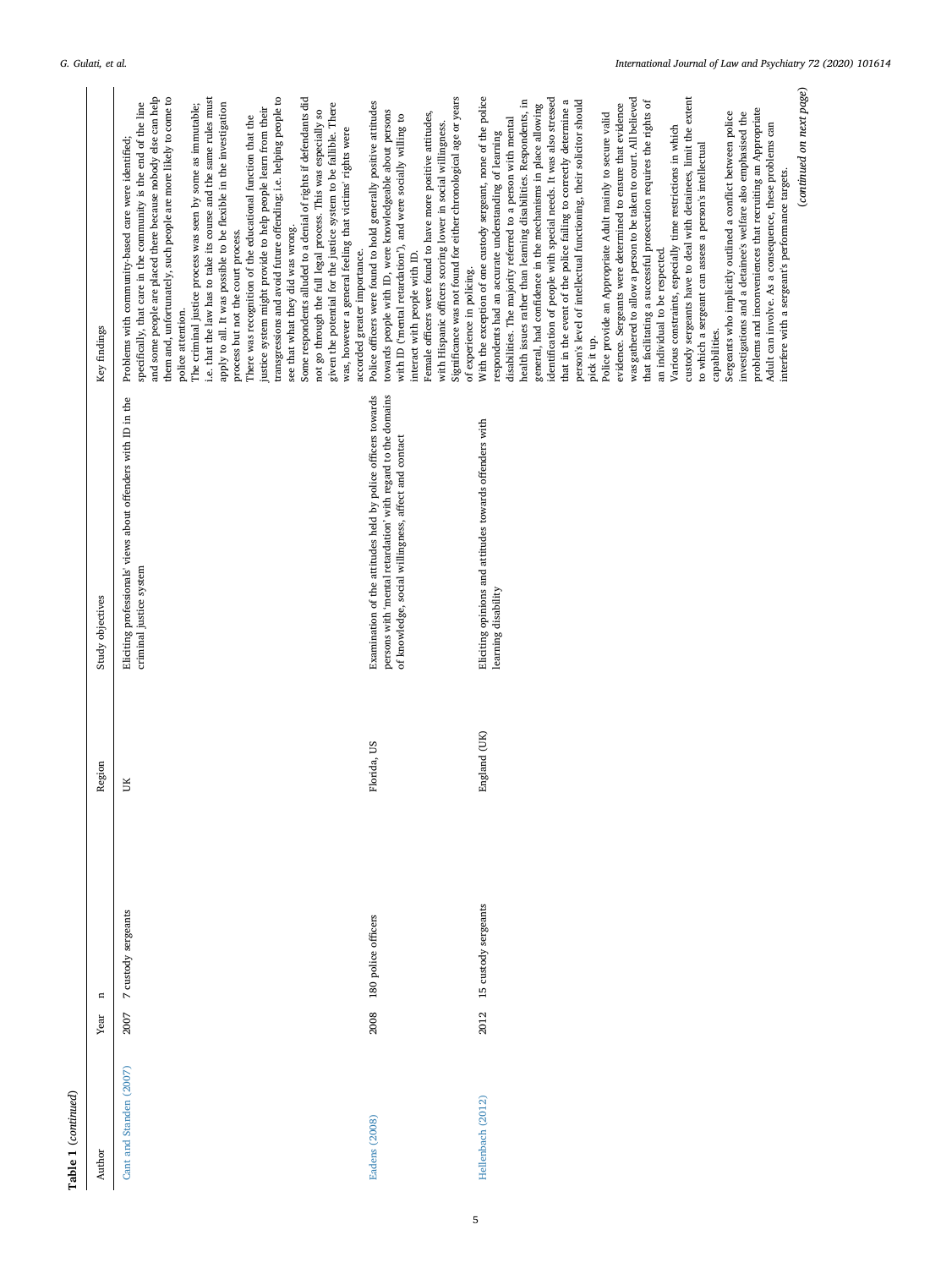| г |
|---|
| ı |
| d |
|   |
|   |

| Author                  | Year | $\mathbf{u}$         | Region       | Study objectives                                                                                                                                                                     | Key findings                                                                                                                                                                                                                                                                                                                                                                                                                                                                                                                                                                                                                                                                                                                                                                                                                                                                                                                                                                                                                                                                                                                                                                                                                                                                                                                                                                            |
|-------------------------|------|----------------------|--------------|--------------------------------------------------------------------------------------------------------------------------------------------------------------------------------------|-----------------------------------------------------------------------------------------------------------------------------------------------------------------------------------------------------------------------------------------------------------------------------------------------------------------------------------------------------------------------------------------------------------------------------------------------------------------------------------------------------------------------------------------------------------------------------------------------------------------------------------------------------------------------------------------------------------------------------------------------------------------------------------------------------------------------------------------------------------------------------------------------------------------------------------------------------------------------------------------------------------------------------------------------------------------------------------------------------------------------------------------------------------------------------------------------------------------------------------------------------------------------------------------------------------------------------------------------------------------------------------------|
| Cant and Standen (2007) | 2007 | 7 custody sergeants  | UК           | Eliciting professionals' views about offenders with ID in the<br>criminal justice system                                                                                             | and some people are placed there because nobody else can help<br>them and, unfortunately, such people are more likely to come to<br>transgressions and avoid future offending; i.e. helping people to<br>i.e. that the law has to take its course and the same rules must<br>Some respondents alluded to a denial of rights if defendants did<br>specifically, that care in the community is the end of the line<br>apply to all. It was possible to be flexible in the investigation<br>The criminal justice process was seen by some as immutable;<br>given the potential for the justice system to be fallible. There<br>justice system might provide to help people learn from their<br>not go through the full legal process. This was especially so<br>There was recognition of the educational function that the<br>was, however a general feeling that victims' rights were<br>Problems with community-based care were identified;<br>see that what they did was wrong.<br>process but not the court process.<br>accorded greater importance.<br>police attention.                                                                                                                                                                                                                                                                                                              |
| Eadens (2008)           | 2008 | 180 police officers  | Florida, US  | persons with 'mental retardation' with regard to the domains<br>Examination of the attitudes held by police officers towards<br>of knowledge, social willingness, affect and contact | Significance was not found for either chronological age or years<br>Police officers were found to hold generally positive attitudes<br>towards people with ID, were knowledgeable about persons<br>Female officers were found to have more positive attitudes,<br>with ID ('mental retardation'), and were socially willing to<br>with Hispanic officers scoring lower in social willingness.<br>interact with people with ID.<br>of experience in policing.                                                                                                                                                                                                                                                                                                                                                                                                                                                                                                                                                                                                                                                                                                                                                                                                                                                                                                                            |
| Hellenbach (2012)       | 2012 | 15 custody sergeants | England (UK) | Eliciting opinions and attitudes towards offenders with<br>learning disability                                                                                                       | custody sergeants have to deal with detainees, limit the extent<br>With the exception of one custody sergeant, none of the police<br>identification of people with special needs. It was also stressed<br>was gathered to allow a person to be taken to court. All believed<br>that in the event of the police failing to correctly determine a<br>person's level of intellectual functioning, their solicitor should<br>that facilitating a successful prosecution requires the rights of<br>health issues rather than learning disabilities. Respondents, in<br>general, had confidence in the mechanisms in place allowing<br>evidence. Sergeants were determined to ensure that evidence<br>problems and inconveniences that recruiting an Appropriate<br>Sergeants who implicitly outlined a conflict between police<br>investigations and a detainee's welfare also emphasised the<br>Police provide an Appropriate Adult mainly to secure valid<br>disabilities. The majority referred to a person with mental<br>Adult can involve. As a consequence, these problems can<br>Various constraints, especially time restrictions in which<br>respondents had an accurate understanding of learning<br>to which a sergeant can assess a person's intellectual<br>interfere with a sergeant's performance targets.<br>an individual to be respected.<br>capabilities.<br>pick it up. |

5

(*continued on next page*)

(continued on next page)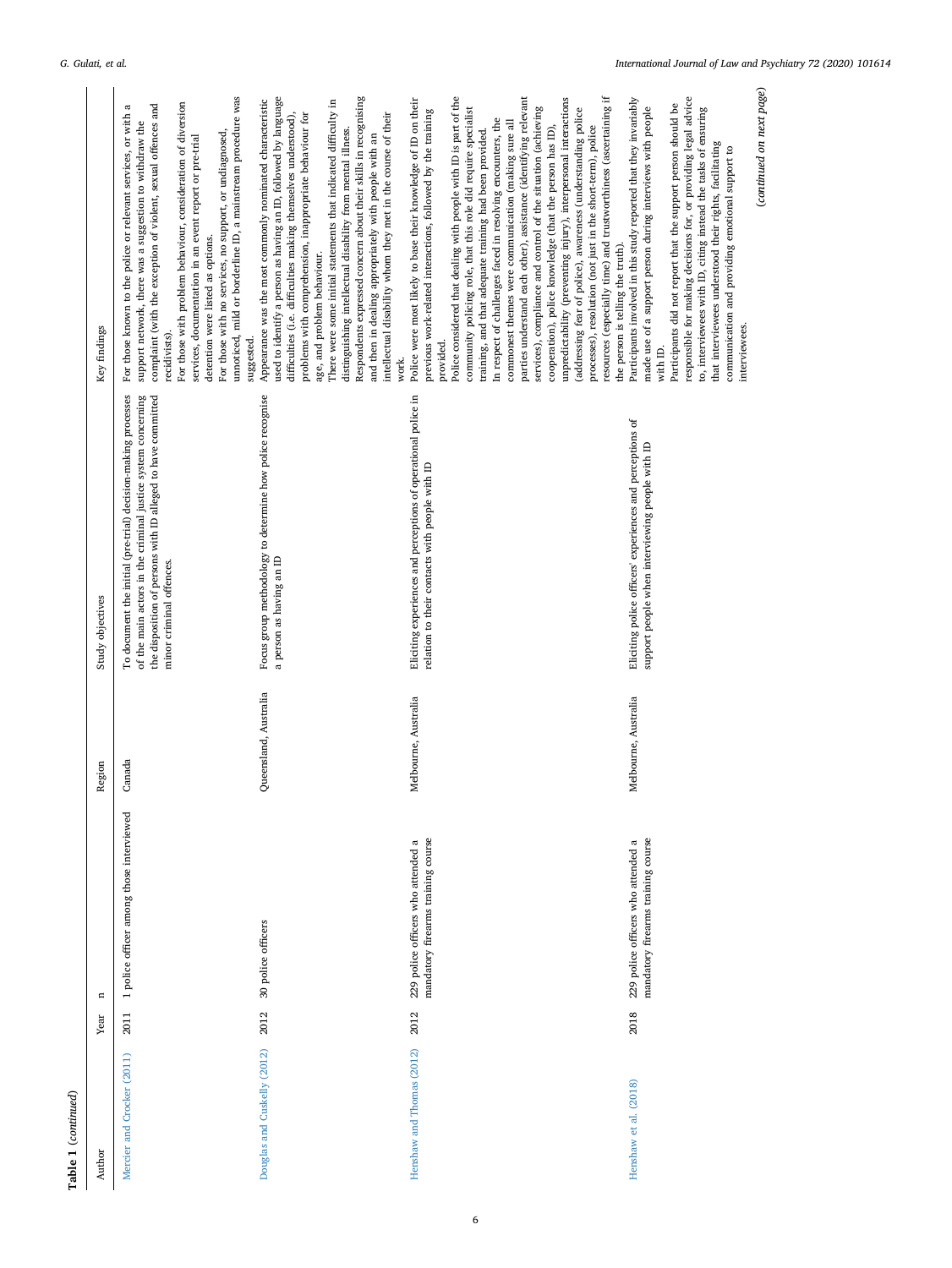| Table 1 (continued)         |      |                                                                             |                       |                                                                                                                                                                                                                           |                                                                                                                                                                                                                                                                                                                                                                                                                                                                                                                                                                                                                                                                                                                                                                                                                                                                                                                                                                                   |
|-----------------------------|------|-----------------------------------------------------------------------------|-----------------------|---------------------------------------------------------------------------------------------------------------------------------------------------------------------------------------------------------------------------|-----------------------------------------------------------------------------------------------------------------------------------------------------------------------------------------------------------------------------------------------------------------------------------------------------------------------------------------------------------------------------------------------------------------------------------------------------------------------------------------------------------------------------------------------------------------------------------------------------------------------------------------------------------------------------------------------------------------------------------------------------------------------------------------------------------------------------------------------------------------------------------------------------------------------------------------------------------------------------------|
| Author                      | Year | $\mathbf{u}$                                                                | Region                | Study objectives                                                                                                                                                                                                          | Key findings                                                                                                                                                                                                                                                                                                                                                                                                                                                                                                                                                                                                                                                                                                                                                                                                                                                                                                                                                                      |
| Mercier and Crocker (2011)  | 2011 | 1 police officer among those interviewed                                    | Canada                | To document the initial (pre-trial) decision-making processes<br>of the main actors in the criminal justice system concerning<br>the disposition of persons with ID alleged to have committed<br>minor criminal offences. | unnoticed, mild or borderline ID, a mainstream procedure was<br>For those with problem behaviour, consideration of diversion<br>complaint (with the exception of violent, sexual offences and<br>For those known to the police or relevant services, or with a<br>support network, there was a suggestion to withdraw the<br>For those with no services, no support, or undiagnosed,<br>services, documentation in an event report or pre-trial<br>detention were listed as options.<br>recidivists)<br>suggested.                                                                                                                                                                                                                                                                                                                                                                                                                                                                |
| Douglas and Cuskelly (2012) | 2012 | 30 police officers                                                          | Queensland, Australia | Focus group methodology to determine how police recognise<br>a person as having an ID                                                                                                                                     | used to identify a person as having an ID, followed by language<br>Respondents expressed concern about their skills in recognising<br>Appearance was the most commonly nominated characteristic<br>There were some initial statements that indicated difficulty in<br>problems with comprehension, inappropriate behaviour for<br>intellectual disability whom they met in the course of their<br>difficulties (i.e. difficulties making themselves understood),<br>distinguishing intellectual disability from mental illness.<br>and then in dealing appropriately with people with an<br>age, and problem behaviour.<br>work.                                                                                                                                                                                                                                                                                                                                                  |
| Henshaw and Thomas (2012)   | 2012 | mandatory firearms training course<br>a<br>229 police officers who attended | Melbourne, Australia  | Eliciting experiences and perceptions of operational police in<br>relation to their contacts with people with ID                                                                                                          | resources (especially time) and trustworthiness (ascertaining if<br>Police considered that dealing with people with ID is part of the<br>parties understand each other), assistance (identifying relevant<br>Police were most likely to base their knowledge of ID on their<br>unpredictability (preventing injury), interpersonal interactions<br>community policing role, that this role did require specialist<br>services), compliance and control of the situation (achieving<br>(addressing fear of police), awareness (understanding police<br>previous work-related interactions, followed by the training<br>In respect of challenges faced in resolving encounters, the<br>commonest themes were communication (making sure all<br>processes), resolution (not just in the short-term), police<br>cooperation), police knowledge (that the person has ID),<br>training, and that adequate training had been provided.<br>the person is telling the truth).<br>provided. |
| Henshaw et al. (2018)       | 2018 | mandatory firearms training course<br>229 police officers who attended a    | Melbourne, Australia  | Eliciting police officers' experiences and perceptions of<br>support people when interviewing people with ID                                                                                                              | Participants involved in this study reported that they invariably<br>responsible for making decisions for, or providing legal advice<br>Participants did not report that the support person should be<br>made use of a support person during interviews with people<br>to, interviewees with ID, citing instead the tasks of ensuring<br>that interviewees understood their rights, facilitating<br>communication and providing emotional support to<br>interviewees.<br>with ID.                                                                                                                                                                                                                                                                                                                                                                                                                                                                                                 |

(*continued on next page*)

 $\left( {continued~on~next~page} \right)$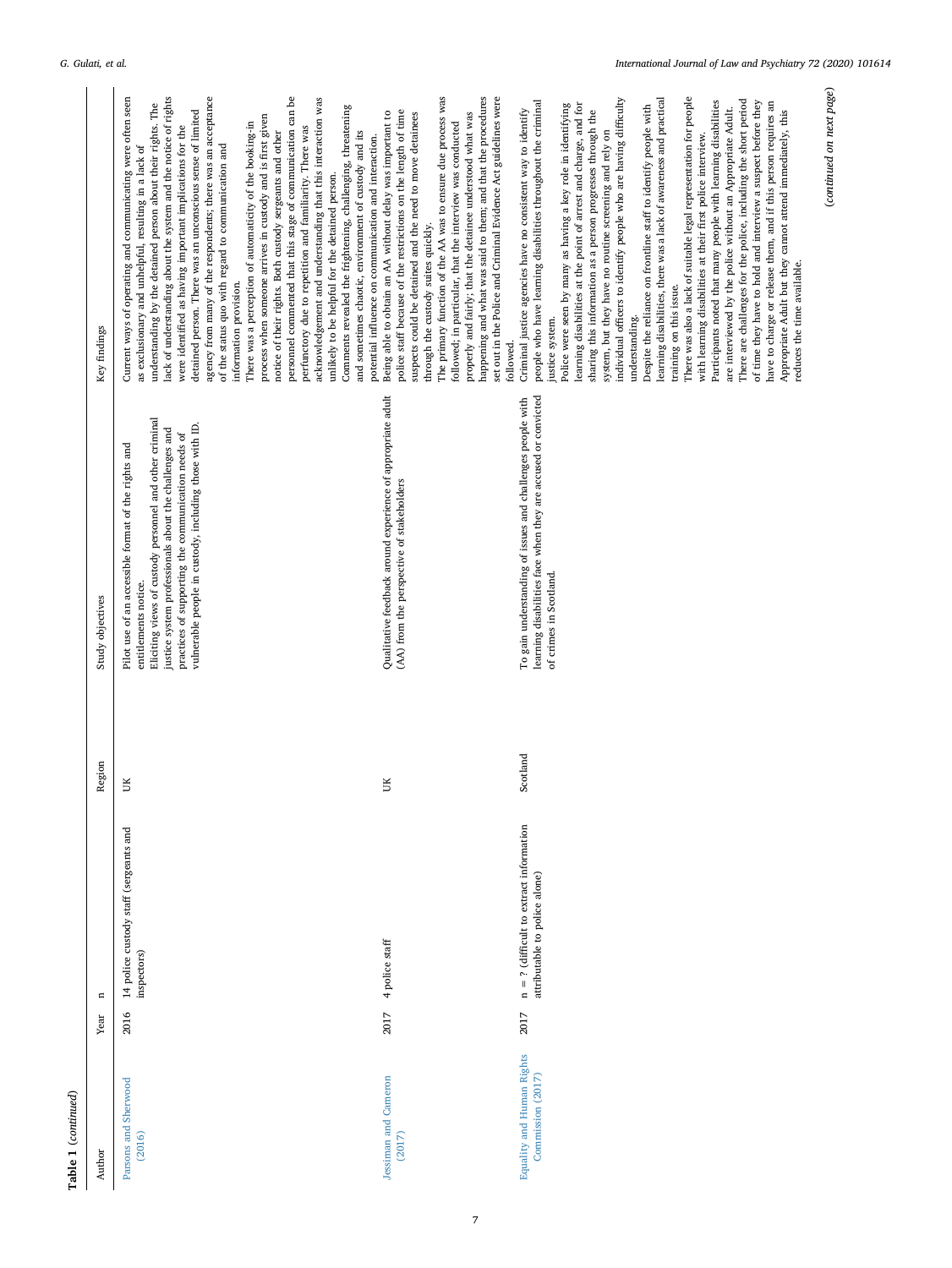| Table 1 (continued)                            |      |                                                                                     |          |                                                                                                                                                                                                                                                                                                                 |                                                                                                                                                                                                                                                                                                                                                                                                                                                                                                                                                                                                                                                                                                                                                                                                                                                                                                                                                                                                                                                                                                                                                                                                                                                 |
|------------------------------------------------|------|-------------------------------------------------------------------------------------|----------|-----------------------------------------------------------------------------------------------------------------------------------------------------------------------------------------------------------------------------------------------------------------------------------------------------------------|-------------------------------------------------------------------------------------------------------------------------------------------------------------------------------------------------------------------------------------------------------------------------------------------------------------------------------------------------------------------------------------------------------------------------------------------------------------------------------------------------------------------------------------------------------------------------------------------------------------------------------------------------------------------------------------------------------------------------------------------------------------------------------------------------------------------------------------------------------------------------------------------------------------------------------------------------------------------------------------------------------------------------------------------------------------------------------------------------------------------------------------------------------------------------------------------------------------------------------------------------|
| Author                                         | Year | $\mathbf{u}$                                                                        | Region   | Study objectives                                                                                                                                                                                                                                                                                                | Key findings                                                                                                                                                                                                                                                                                                                                                                                                                                                                                                                                                                                                                                                                                                                                                                                                                                                                                                                                                                                                                                                                                                                                                                                                                                    |
| Parsons and Sherwood<br>(2016)                 | 2016 | 14 police custody staff (sergeants and<br>inspectors)                               | ŬК       | Eliciting views of custody personnel and other criminal<br>vulnerable people in custody, including those with ID.<br>justice system professionals about the challenges and<br>practices of supporting the communication needs of<br>Pilot use of an accessible format of the rights and<br>entitlements notice. | Current ways of operating and communicating were often seen<br>lack of understanding about the system and the notice of rights<br>personnel commented that this stage of communication can be<br>agency from many of the respondents; there was an acceptance<br>acknowledgement and understanding that this interaction was<br>understanding by the detained person about their rights. The<br>Comments revealed the frightening, challenging, threatening<br>detained person. There was an unconscious sense of limited<br>process when someone arrives in custody and is first given<br>There was a perception of automaticity of the booking-in<br>were identified as having important implications for the<br>perfunctory due to repetition and familiarity. There was<br>and sometimes chaotic, environment of custody and its<br>notice of their rights. Both custody sergeants and other<br>potential influence on communication and interaction.<br>of the status quo with regard to communication and<br>as exclusionary and unhelpful, resulting in a lack of<br>unlikely to be helpful for the detained person.<br>information provision.                                                                                           |
| Jessiman and Cameron<br>(2017)                 | 2017 | 4 police staff                                                                      | ŬK       | Qualitative feedback around experience of appropriate adult<br>(AA) from the perspective of stakeholders                                                                                                                                                                                                        | The primary function of the AA was to ensure due process was<br>happening and what was said to them; and that the procedures<br>set out in the Police and Criminal Evidence Act guidelines were<br>police staff because of the restrictions on the length of time<br>Being able to obtain an AA without delay was important to<br>properly and fairly; that the detainee understood what was<br>suspects could be detained and the need to move detainees<br>followed; in particular, that the interview was conducted<br>through the custody suites quickly.<br>followed.                                                                                                                                                                                                                                                                                                                                                                                                                                                                                                                                                                                                                                                                      |
| Equality and Human Rights<br>Commission (2017) | 2017 | $\mathbf{n}$ = ? (difficult to extract information<br>attributable to police alone) | Scotland | learning disabilities face when they are accused or convicted<br>To gain understanding of issues and challenges people with<br>of crimes in Scotland.                                                                                                                                                           | There was also a lack of suitable legal representation for people<br>individual officers to identify people who are having difficulty<br>learning disabilities, there was a lack of awareness and practical<br>people who have learning disabilities throughout the criminal<br>Participants noted that many people with learning disabilities<br>There are challenges for the police, including the short period<br>of time they have to hold and interview a suspect before they<br>have to charge or release them, and if this person requires an<br>learning disabilities at the point of arrest and charge, and for<br>Police were seen by many as having a key role in identifying<br>Despite the reliance on frontline staff to identify people with<br>are interviewed by the police without an Appropriate Adult.<br>Criminal justice agencies have no consistent way to identify<br>sharing this information as a person progresses through the<br>Appropriate Adult but they cannot attend immediately, this<br>system, but they have no routine screening and rely on<br>with learning disabilities at their first police interview.<br>reduces the time available.<br>training on this issue.<br>understanding.<br>justice system. |

7

(*continued on next page*)

(continued on next page)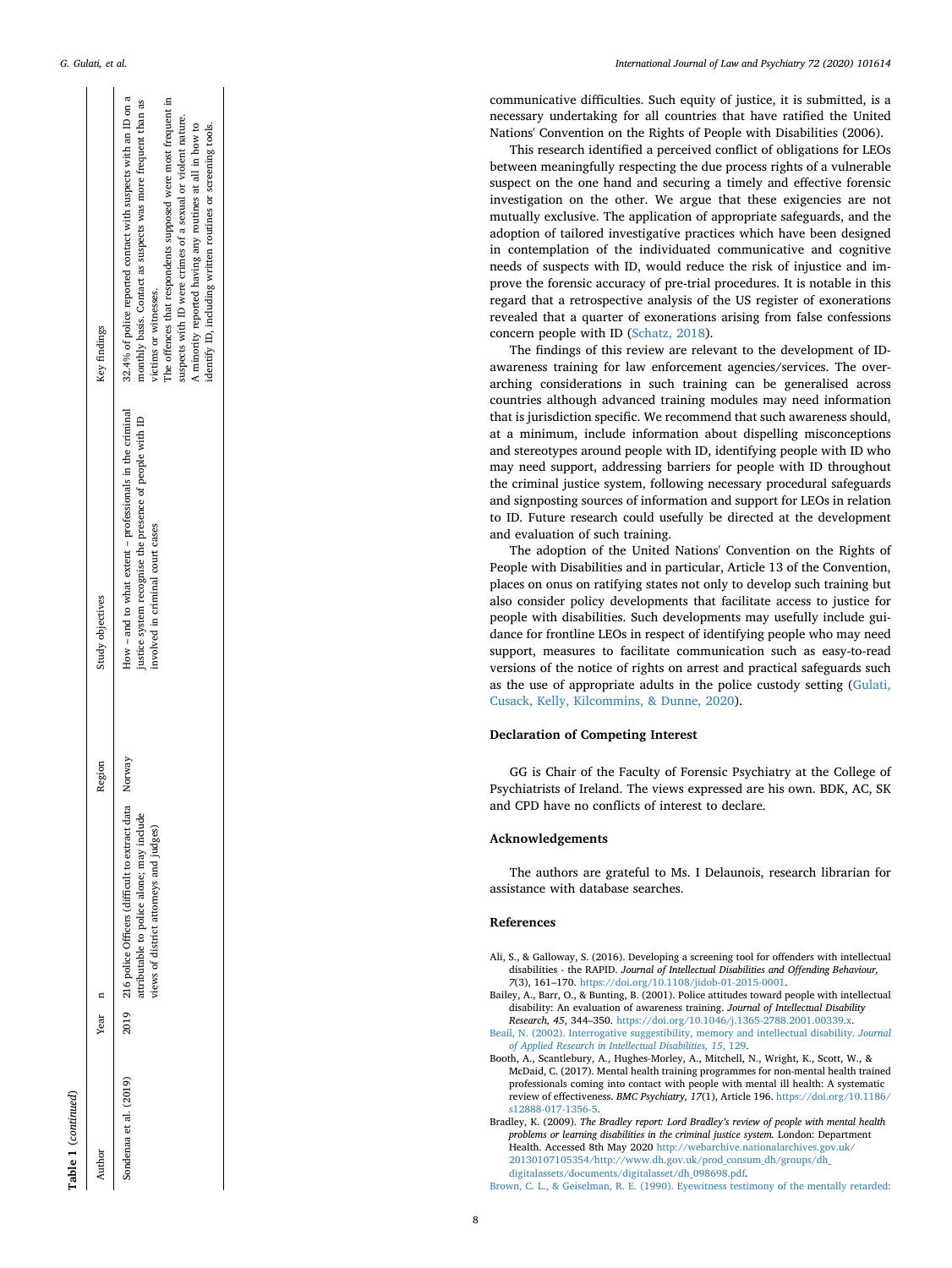| able 1 (continued)     |                                                                                                                                               |        |                                                                                                                                                         |                                                                                                                                                                                                                                                                                        |
|------------------------|-----------------------------------------------------------------------------------------------------------------------------------------------|--------|---------------------------------------------------------------------------------------------------------------------------------------------------------|----------------------------------------------------------------------------------------------------------------------------------------------------------------------------------------------------------------------------------------------------------------------------------------|
| uthor                  | Year                                                                                                                                          | Region | Study objectives                                                                                                                                        | Key findings                                                                                                                                                                                                                                                                           |
| Sondenaa et al. (2019) | 216 police Officers (difficult to extract data<br>attributable to police alone; may include<br>dews of district attorneys and judges)<br>2019 | Norway | How - and to what extent - professionals in the criminal<br>justice system recognise the presence of people with ID<br>involved in criminal court cases | 32.4% of police reported contact with suspects with an ID on a<br>monthly basis. Contact as suspects was more frequent than as<br>The offences that respondents supposed were most frequent in<br>suspects with ID were crimes of a sexual or violent nature.<br>victims or witnesses. |

communicative difficulties. Such equity of justice, it is submitted, is a necessary undertaking for all countries that have ratified the United Nations' Convention on the Rights of People with Disabilities (2006).

This research identified a perceived conflict of obligations for LEOs between meaningfully respecting the due process rights of a vulnerable suspect on the one hand and securing a timely and effective forensic investigation on the other. We argue that these exigencies are not mutually exclusive. The application of appropriate safeguards, and the adoption of tailored investigative practices which have been designed in contemplation of the individuated communicative and cognitive needs of suspects with ID, would reduce the risk of injustice and improve the forensic accuracy of pre-trial procedures. It is notable in this regard that a retrospective analysis of the US register of exonerations revealed that a quarter of exonerations arising from false confessions concern people with ID ([Schatz, 2018](#page-8-31)).

The findings of this review are relevant to the development of IDawareness training for law enforcement agencies/services. The overarching considerations in such training can be generalised across countries although advanced training modules may need information that is jurisdiction specific. We recommend that such awareness should, at a minimum, include information about dispelling misconceptions and stereotypes around people with ID, identifying people with ID who may need support, addressing barriers for people with ID throughout the criminal justice system, following necessary procedural safeguards and signposting sources of information and support for LEOs in relation to ID. Future research could usefully be directed at the development and evaluation of such training.

The adoption of the United Nations' Convention on the Rights of People with Disabilities and in particular, Article 13 of the Convention, places on onus on ratifying states not only to develop such training but also consider policy developments that facilitate access to justice for people with disabilities. Such developments may usefully include guidance for frontline LEOs in respect of identifying people who may need support, measures to facilitate communication such as easy-to-read versions of the notice of rights on arrest and practical safeguards such as the use of appropriate adults in the police custody setting ([Gulati,](#page-8-29) [Cusack, Kelly, Kilcommins, & Dunne, 2020\)](#page-8-29).

## **Declaration of Competing Interest**

GG is Chair of the Faculty of Forensic Psychiatry at the College of Psychiatrists of Ireland. The views expressed are his own. BDK, AC, SK and CPD have no conflicts of interest to declare.

#### **Acknowledgements**

The authors are grateful to Ms. I Delaunois, research librarian for assistance with database searches.

#### **References**

- <span id="page-7-1"></span>Ali, S., & Galloway, S. (2016). Developing a screening tool for offenders with intellectual disabilities - the RAPID. *Journal of Intellectual Disabilities and Offending Behaviour, 7*(3), 161–170. <https://doi.org/10.1108/jidob-01-2015-0001>.
- <span id="page-7-5"></span>Bailey, A., Barr, O., & Bunting, B. (2001). Police attitudes toward people with intellectual disability: An evaluation of awareness training. *Journal of Intellectual Disability Research, 45*, 344–350. <https://doi.org/10.1046/j.1365-2788.2001.00339.x> .
- <span id="page-7-3"></span>[Beail, N. \(2002\). Interrogative suggestibility, memory and intellectual disability.](http://refhub.elsevier.com/S0160-2527(20)30073-X/rf0015) *Journal [of Applied Research in Intellectual Disabilities, 15](http://refhub.elsevier.com/S0160-2527(20)30073-X/rf0015)*, 129 .
- <span id="page-7-4"></span>Booth, A., Scantlebury, A., Hughes-Morley, A., Mitchell, N., Wright, K., Scott, W., & McDaid, C. (2017). Mental health training programmes for non-mental health trained professionals coming into contact with people with mental ill health: A systematic review of effectiveness. *BMC Psychiatry, 17*(1), Article 196. [https://doi.org/10.1186/](https://doi.org/10.1186/s12888-017-1356-5) [s12888-017-1356-5](https://doi.org/10.1186/s12888-017-1356-5) .
- <span id="page-7-0"></span>Bradley, K. (2009). *The Bradley report: Lord Bradley's review of people with mental health problems or learning disabilities in the criminal justice system.* London: Department Health. Accessed 8th May 2020 [http://webarchive.nationalarchives.gov.uk/](http://webarchive.nationalarchives.gov.uk/20130107105354/http://www.dh.gov.uk/prod_consum_dh/groups/dh_digitalassets/documents/digitalasset/dh_098698.pdf) [20130107105354/http://www.dh.gov.uk/prod\\_consum\\_dh/groups/dh\\_](http://webarchive.nationalarchives.gov.uk/20130107105354/http://www.dh.gov.uk/prod_consum_dh/groups/dh_digitalassets/documents/digitalasset/dh_098698.pdf) [digitalassets/documents/digitalasset/dh\\_098698.pdf](http://webarchive.nationalarchives.gov.uk/20130107105354/http://www.dh.gov.uk/prod_consum_dh/groups/dh_digitalassets/documents/digitalasset/dh_098698.pdf).
- <span id="page-7-2"></span>[Brown, C. L., & Geiselman, R. E. \(1990\). Eyewitness testimony of the mentally retarded:](http://refhub.elsevier.com/S0160-2527(20)30073-X/rf0030)

ID on a<br>than as

quent in

suspects with ID were crimes of a sexual or violent nature. A minority reported having any routines at all in how to identify ID, including written routines or screening tools.

A minority reported having any routines at all in how to identify ID, including written routines or screening tools.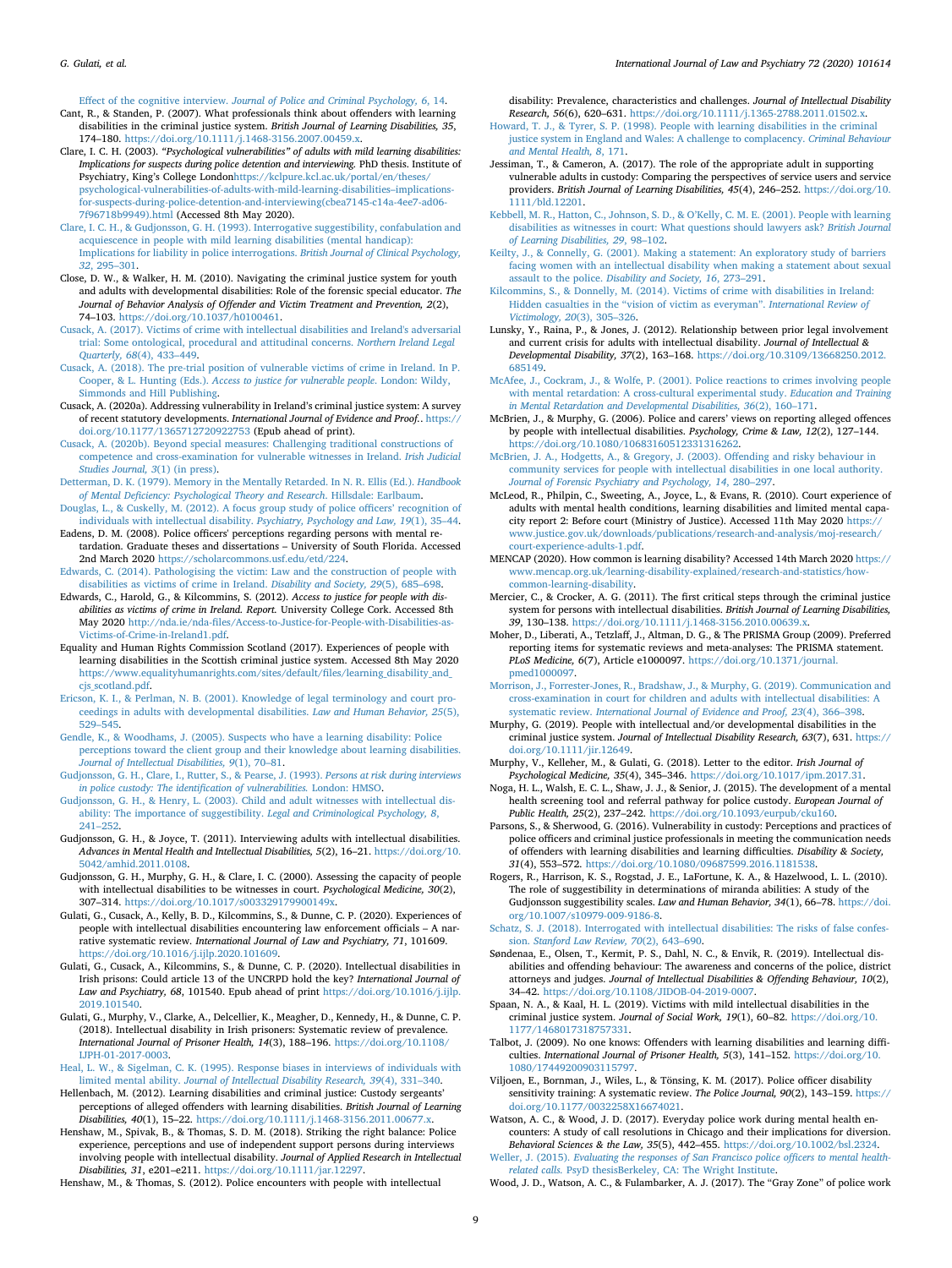Effect of the cognitive interview. *[Journal of Police and Criminal Psychology, 6](http://refhub.elsevier.com/S0160-2527(20)30073-X/rf0030)*, 14.

- <span id="page-8-47"></span>Cant, R., & Standen, P. (2007). What professionals think about offenders with learning disabilities in the criminal justice system. *British Journal of Learning Disabilities, 35*, 174–180. <https://doi.org/10.1111/j.1468-3156.2007.00459.x>.
- <span id="page-8-7"></span>Clare, I. C. H. (2003). *"Psychological vulnerabilities" of adults with mild learning disabilities: Implications for suspects during police detention and interviewing.* PhD thesis. Institute of Psychiatry, King's College Londonhttps://kclpure.kcl.ac.uk/portal/en/theses [psychological-vulnerabilities-of-adults-with-mild-learning-disabilities–implications](https://kclpure.kcl.ac.uk/portal/en/theses/psychological-vulnerabilities-of-adults-with-mild-learning-disabilities--implications-for-suspects-during-police-detention-and-interviewing(cbea7145-c14a-4ee7-ad06-7f96718b9949).html)[for-suspects-during-police-detention-and-interviewing\(cbea7145-c14a-4ee7-ad06-](https://kclpure.kcl.ac.uk/portal/en/theses/psychological-vulnerabilities-of-adults-with-mild-learning-disabilities--implications-for-suspects-during-police-detention-and-interviewing(cbea7145-c14a-4ee7-ad06-7f96718b9949).html) [7f96718b9949\).html](https://kclpure.kcl.ac.uk/portal/en/theses/psychological-vulnerabilities-of-adults-with-mild-learning-disabilities--implications-for-suspects-during-police-detention-and-interviewing(cbea7145-c14a-4ee7-ad06-7f96718b9949).html) (Accessed 8th May 2020).
- <span id="page-8-24"></span>[Clare, I. C. H., & Gudjonsson, G. H. \(1993\). Interrogative suggestibility, confabulation and](http://refhub.elsevier.com/S0160-2527(20)30073-X/rf0045) [acquiescence in people with mild learning disabilities \(mental handicap\):](http://refhub.elsevier.com/S0160-2527(20)30073-X/rf0045) [Implications for liability in police interrogations.](http://refhub.elsevier.com/S0160-2527(20)30073-X/rf0045) *British Journal of Clinical Psychology, 32*[, 295–301](http://refhub.elsevier.com/S0160-2527(20)30073-X/rf0045).
- <span id="page-8-10"></span>Close, D. W., & Walker, H. M. (2010). Navigating the criminal justice system for youth and adults with developmental disabilities: Role of the forensic special educator. *The Journal of Behavior Analysis of Offender and Victim Treatment and Prevention, 2*(2), 74–103. <https://doi.org/10.1037/h0100461>.
- <span id="page-8-5"></span>[Cusack, A. \(2017\). Victims of crime with intellectual disabilities and Ireland's adversarial](http://refhub.elsevier.com/S0160-2527(20)30073-X/rf0060) [trial: Some ontological, procedural and attitudinal concerns.](http://refhub.elsevier.com/S0160-2527(20)30073-X/rf0060) *Northern Ireland Legal Quarterly, 68*[\(4\), 433–449](http://refhub.elsevier.com/S0160-2527(20)30073-X/rf0060).
- <span id="page-8-11"></span>[Cusack, A. \(2018\). The pre-trial position of vulnerable victims of crime in Ireland. In P.](http://refhub.elsevier.com/S0160-2527(20)30073-X/rf0065) Cooper, & L. Hunting (Eds.). *[Access to justice for vulnerable people](http://refhub.elsevier.com/S0160-2527(20)30073-X/rf0065)*. London: Wildy, [Simmonds and Hill Publishing.](http://refhub.elsevier.com/S0160-2527(20)30073-X/rf0065)
- <span id="page-8-8"></span>Cusack, A. (2020a). Addressing vulnerability in Ireland's criminal justice system: A survey of recent statutory developments. *International Journal of Evidence and Proof.*. [https://](https://doi.org/10.1177/1365712720922753) [doi.org/10.1177/1365712720922753](https://doi.org/10.1177/1365712720922753) (Epub ahead of print).
- <span id="page-8-22"></span>[Cusack, A. \(2020b\). Beyond special measures: Challenging traditional constructions of](http://refhub.elsevier.com/S0160-2527(20)30073-X/rf0075) [competence and cross-examination for vulnerable witnesses in Ireland.](http://refhub.elsevier.com/S0160-2527(20)30073-X/rf0075) *Irish Judicial [Studies Journal, 3](http://refhub.elsevier.com/S0160-2527(20)30073-X/rf0075)*(1) (in press).
- <span id="page-8-23"></span>[Detterman, D. K. \(1979\). Memory in the Mentally Retarded. In N. R. Ellis \(Ed.\).](http://refhub.elsevier.com/S0160-2527(20)30073-X/rf0080) *Handbook [of Mental Deficiency: Psychological Theory and Research](http://refhub.elsevier.com/S0160-2527(20)30073-X/rf0080)*. Hillsdale: Earlbaum.
- <span id="page-8-44"></span>[Douglas, L., & Cuskelly, M. \(2012\). A focus group study of police officers' recognition of](http://refhub.elsevier.com/S0160-2527(20)30073-X/rf0085) [individuals with intellectual disability.](http://refhub.elsevier.com/S0160-2527(20)30073-X/rf0085) *Psychiatry, Psychology and Law, 19*(1), 35–44.
- <span id="page-8-41"></span>Eadens, D. M. (2008). Police officers' perceptions regarding persons with mental retardation. Graduate theses and dissertations – University of South Florida. Accessed 2nd March 2020 <https://scholarcommons.usf.edu/etd/224>.
- <span id="page-8-6"></span>[Edwards, C. \(2014\). Pathologising the victim: Law and the construction of people with](http://refhub.elsevier.com/S0160-2527(20)30073-X/rf0095) [disabilities as victims of crime in Ireland.](http://refhub.elsevier.com/S0160-2527(20)30073-X/rf0095) *Disability and Society, 29*(5), 685–698.
- <span id="page-8-13"></span>Edwards, C., Harold, G., & Kilcommins, S. (2012). *Access to justice for people with disabilities as victims of crime in Ireland. Report.* University College Cork. Accessed 8th May 2020 [http://nda.ie/nda-files/Access-to-Justice-for-People-with-Disabilities-as-](http://nda.ie/nda-files/Access-to-Justice-for-People-with-Disabilities-as-Victims-of-Crime-in-Ireland1.pdf)[Victims-of-Crime-in-Ireland1.pdf.](http://nda.ie/nda-files/Access-to-Justice-for-People-with-Disabilities-as-Victims-of-Crime-in-Ireland1.pdf)
- <span id="page-8-50"></span>Equality and Human Rights Commission Scotland (2017). Experiences of people with learning disabilities in the Scottish criminal justice system. Accessed 8th May 2020 [https://www.equalityhumanrights.com/sites/default/files/learning\\_disability\\_and\\_](https://www.equalityhumanrights.com/sites/default/files/learning_disability_and_cjs_scotland.pdf) cis scotland.pdf.
- <span id="page-8-28"></span>[Ericson, K. I., & Perlman, N. B. \(2001\). Knowledge of legal terminology and court pro](http://refhub.elsevier.com/S0160-2527(20)30073-X/rf0110)[ceedings in adults with developmental disabilities.](http://refhub.elsevier.com/S0160-2527(20)30073-X/rf0110) *Law and Human Behavior, 25*(5), [529–545](http://refhub.elsevier.com/S0160-2527(20)30073-X/rf0110).
- <span id="page-8-33"></span>[Gendle, K., & Woodhams, J. \(2005\). Suspects who have a learning disability: Police](http://refhub.elsevier.com/S0160-2527(20)30073-X/rf0115) [perceptions toward the client group and their knowledge about learning disabilities.](http://refhub.elsevier.com/S0160-2527(20)30073-X/rf0115) *[Journal of Intellectual Disabilities, 9](http://refhub.elsevier.com/S0160-2527(20)30073-X/rf0115)*(1), 70–81.
- <span id="page-8-12"></span>[Gudjonsson, G. H., Clare, I., Rutter, S., & Pearse, J. \(1993\).](http://refhub.elsevier.com/S0160-2527(20)30073-X/rf0120) *Persons at risk during interviews [in police custody: The identification of vulnerabilities.](http://refhub.elsevier.com/S0160-2527(20)30073-X/rf0120)* London: HMSO.
- <span id="page-8-25"></span>[Gudjonsson, G. H., & Henry, L. \(2003\). Child and adult witnesses with intellectual dis](http://refhub.elsevier.com/S0160-2527(20)30073-X/rf0125)[ability: The importance of suggestibility.](http://refhub.elsevier.com/S0160-2527(20)30073-X/rf0125) *Legal and Criminological Psychology, 8*, [241–252](http://refhub.elsevier.com/S0160-2527(20)30073-X/rf0125).
- <span id="page-8-21"></span>Gudjonsson, G. H., & Joyce, T. (2011). Interviewing adults with intellectual disabilities. *Advances in Mental Health and Intellectual Disabilities, 5*(2), 16–21. [https://doi.org/10.](https://doi.org/10.5042/amhid.2011.0108) [5042/amhid.2011.0108](https://doi.org/10.5042/amhid.2011.0108).
- <span id="page-8-37"></span>Gudjonsson, G. H., Murphy, G. H., & Clare, I. C. (2000). Assessing the capacity of people with intellectual disabilities to be witnesses in court. *Psychological Medicine, 30*(2), 307–314. [https://doi.org/10.1017/s003329179900149x.](https://doi.org/10.1017/s003329179900149x)
- <span id="page-8-29"></span>Gulati, G., Cusack, A., Kelly, B. D., Kilcommins, S., & Dunne, C. P. (2020). Experiences of people with intellectual disabilities encountering law enforcement officials – A narrative systematic review. *International Journal of Law and Psychiatry, 71*, 101609. [https://doi.org/10.1016/j.ijlp.2020.101609.](https://doi.org/10.1016/j.ijlp.2020.101609)
- <span id="page-8-30"></span>Gulati, G., Cusack, A., Kilcommins, S., & Dunne, C. P. (2020). Intellectual disabilities in Irish prisons: Could article 13 of the UNCRPD hold the key? *International Journal of Law and Psychiatry, 68*, 101540. Epub ahead of print [https://doi.org/10.1016/j.ijlp.](https://doi.org/10.1016/j.ijlp.2019.101540) [2019.101540](https://doi.org/10.1016/j.ijlp.2019.101540).
- <span id="page-8-0"></span>Gulati, G., Murphy, V., Clarke, A., Delcellier, K., Meagher, D., Kennedy, H., & Dunne, C. P. (2018). Intellectual disability in Irish prisoners: Systematic review of prevalence. *International Journal of Prisoner Health, 14*(3), 188–196. [https://doi.org/10.1108/](https://doi.org/10.1108/IJPH-01-2017-0003) [IJPH-01-2017-0003](https://doi.org/10.1108/IJPH-01-2017-0003).

<span id="page-8-27"></span>[Heal, L. W., & Sigelman, C. K. \(1995\). Response biases in interviews of individuals with](http://refhub.elsevier.com/S0160-2527(20)30073-X/rf0155) limited mental ability. *[Journal of Intellectual Disability Research, 39](http://refhub.elsevier.com/S0160-2527(20)30073-X/rf0155)*(4), 331–340.

- <span id="page-8-48"></span>Hellenbach, M. (2012). Learning disabilities and criminal justice: Custody sergeants' perceptions of alleged offenders with learning disabilities. *British Journal of Learning Disabilities, 40*(1), 15–22. <https://doi.org/10.1111/j.1468-3156.2011.00677.x>.
- <span id="page-8-40"></span>Henshaw, M., Spivak, B., & Thomas, S. D. M. (2018). Striking the right balance: Police experience, perceptions and use of independent support persons during interviews involving people with intellectual disability. *Journal of Applied Research in Intellectual Disabilities, 31*, e201–e211. <https://doi.org/10.1111/jar.12297>.

<span id="page-8-53"></span>Henshaw, M., & Thomas, S. (2012). Police encounters with people with intellectual

disability: Prevalence, characteristics and challenges. *Journal of Intellectual Disability Research, 56*(6), 620–631. <https://doi.org/10.1111/j.1365-2788.2011.01502.x>.

- <span id="page-8-14"></span>[Howard, T. J., & Tyrer, S. P. \(1998\). People with learning disabilities in the criminal](http://refhub.elsevier.com/S0160-2527(20)30073-X/rf0175) [justice system in England and Wales: A challenge to complacency.](http://refhub.elsevier.com/S0160-2527(20)30073-X/rf0175) *Criminal Behaviour [and Mental Health, 8](http://refhub.elsevier.com/S0160-2527(20)30073-X/rf0175)*, 171.
- <span id="page-8-49"></span>Jessiman, T., & Cameron, A. (2017). The role of the appropriate adult in supporting vulnerable adults in custody: Comparing the perspectives of service users and service providers. *British Journal of Learning Disabilities, 45*(4), 246–252. [https://doi.org/10.](https://doi.org/10.1111/bld.12201) [1111/bld.12201.](https://doi.org/10.1111/bld.12201)
- <span id="page-8-26"></span>[Kebbell, M. R., Hatton, C., Johnson, S. D., & O'Kelly, C. M. E. \(2001\). People with learning](http://refhub.elsevier.com/S0160-2527(20)30073-X/rf0190) [disabilities as witnesses in court: What questions should lawyers ask?](http://refhub.elsevier.com/S0160-2527(20)30073-X/rf0190) *British Journal [of Learning Disabilities, 29](http://refhub.elsevier.com/S0160-2527(20)30073-X/rf0190)*, 98–102.
- <span id="page-8-15"></span>[Keilty, J., & Connelly, G. \(2001\). Making a statement: An exploratory study of barriers](http://refhub.elsevier.com/S0160-2527(20)30073-X/rf0195) [facing women with an intellectual disability when making a statement about sexual](http://refhub.elsevier.com/S0160-2527(20)30073-X/rf0195) assault to the police. *[Disability and Society, 16](http://refhub.elsevier.com/S0160-2527(20)30073-X/rf0195)*, 273–291.
- <span id="page-8-36"></span>[Kilcommins, S., & Donnelly, M. \(2014\). Victims of crime with disabilities in Ireland:](http://refhub.elsevier.com/S0160-2527(20)30073-X/rf0200) [Hidden casualties in the "vision of victim as everyman".](http://refhub.elsevier.com/S0160-2527(20)30073-X/rf0200) *International Review of [Victimology, 20](http://refhub.elsevier.com/S0160-2527(20)30073-X/rf0200)*(3), 305–326.
- <span id="page-8-4"></span>Lunsky, Y., Raina, P., & Jones, J. (2012). Relationship between prior legal involvement and current crisis for adults with intellectual disability. *Journal of Intellectual & Developmental Disability, 37*(2), 163–168. [https://doi.org/10.3109/13668250.2012.](https://doi.org/10.3109/13668250.2012.685149) [685149](https://doi.org/10.3109/13668250.2012.685149).
- <span id="page-8-43"></span>[McAfee, J., Cockram, J., & Wolfe, P. \(2001\). Police reactions to crimes involving people](http://refhub.elsevier.com/S0160-2527(20)30073-X/rf0210) [with mental retardation: A cross-cultural experimental study.](http://refhub.elsevier.com/S0160-2527(20)30073-X/rf0210) *Education and Training [in Mental Retardation and Developmental Disabilities, 36](http://refhub.elsevier.com/S0160-2527(20)30073-X/rf0210)*(2), 160–171.
- <span id="page-8-52"></span>McBrien, J., & Murphy, G. (2006). Police and carers' views on reporting alleged offences by people with intellectual disabilities. *Psychology, Crime & Law, 12*(2), 127–144. <https://doi.org/10.1080/10683160512331316262>.
- <span id="page-8-3"></span>[McBrien, J. A., Hodgetts, A., & Gregory, J. \(2003\). Offending and risky behaviour in](http://refhub.elsevier.com/S0160-2527(20)30073-X/rf0220) [community services for people with intellectual disabilities in one local authority.](http://refhub.elsevier.com/S0160-2527(20)30073-X/rf0220) *[Journal of Forensic Psychiatry and Psychology, 14](http://refhub.elsevier.com/S0160-2527(20)30073-X/rf0220)*, 280–297.
- <span id="page-8-16"></span>McLeod, R., Philpin, C., Sweeting, A., Joyce, L., & Evans, R. (2010). Court experience of adults with mental health conditions, learning disabilities and limited mental capacity report 2: Before court (Ministry of Justice). Accessed 11th May 2020 [https://](https://www.justice.gov.uk/downloads/publications/research-and-analysis/moj-research/court-experience-adults-1.pdf) [www.justice.gov.uk/downloads/publications/research-and-analysis/moj-research/](https://www.justice.gov.uk/downloads/publications/research-and-analysis/moj-research/court-experience-adults-1.pdf) [court-experience-adults-1.pdf](https://www.justice.gov.uk/downloads/publications/research-and-analysis/moj-research/court-experience-adults-1.pdf).
- <span id="page-8-2"></span>MENCAP (2020). How common is learning disability? Accessed 14th March 2020 [https://](https://www.mencap.org.uk/learning-disability-explained/research-and-statistics/how-common-learning-disability) [www.mencap.org.uk/learning-disability-explained/research-and-statistics/how](https://www.mencap.org.uk/learning-disability-explained/research-and-statistics/how-common-learning-disability)[common-learning-disability](https://www.mencap.org.uk/learning-disability-explained/research-and-statistics/how-common-learning-disability).
- <span id="page-8-42"></span>Mercier, C., & Crocker, A. G. (2011). The first critical steps through the criminal justice system for persons with intellectual disabilities. *British Journal of Learning Disabilities, 39*, 130–138. <https://doi.org/10.1111/j.1468-3156.2010.00639.x>.
- <span id="page-8-39"></span>Moher, D., Liberati, A., Tetzlaff, J., Altman, D. G., & The PRISMA Group (2009). Preferred reporting items for systematic reviews and meta-analyses: The PRISMA statement. *PLoS Medicine, 6*(7), Article e1000097. [https://doi.org/10.1371/journal.](https://doi.org/10.1371/journal.pmed1000097) [pmed1000097](https://doi.org/10.1371/journal.pmed1000097).
- <span id="page-8-9"></span>[Morrison, J., Forrester-Jones, R., Bradshaw, J., & Murphy, G. \(2019\). Communication and](http://refhub.elsevier.com/S0160-2527(20)30073-X/rf0245) [cross-examination in court for children and adults with intellectual disabilities: A](http://refhub.elsevier.com/S0160-2527(20)30073-X/rf0245) systematic review. *[International Journal of Evidence and Proof, 23](http://refhub.elsevier.com/S0160-2527(20)30073-X/rf0245)*(4), 366–398.
- <span id="page-8-1"></span>Murphy, G. (2019). People with intellectual and/or developmental disabilities in the criminal justice system. *Journal of Intellectual Disability Research, 63*(7), 631. [https://](https://doi.org/10.1111/jir.12649) [doi.org/10.1111/jir.12649](https://doi.org/10.1111/jir.12649).
- <span id="page-8-34"></span>Murphy, V., Kelleher, M., & Gulati, G. (2018). Letter to the editor. *Irish Journal of Psychological Medicine, 35*(4), 345–346. <https://doi.org/10.1017/ipm.2017.31>.
- <span id="page-8-17"></span>Noga, H. L., Walsh, E. C. L., Shaw, J. J., & Senior, J. (2015). The development of a mental health screening tool and referral pathway for police custody. *European Journal of Public Health, 25*(2), 237–242. <https://doi.org/10.1093/eurpub/cku160>.
- <span id="page-8-46"></span>Parsons, S., & Sherwood, G. (2016). Vulnerability in custody: Perceptions and practices of police officers and criminal justice professionals in meeting the communication needs of offenders with learning disabilities and learning difficulties. *Disability & Society, 31*(4), 553–572. <https://doi.org/10.1080/09687599.2016.1181538>.
- <span id="page-8-20"></span>Rogers, R., Harrison, K. S., Rogstad, J. E., LaFortune, K. A., & Hazelwood, L. L. (2010). The role of suggestibility in determinations of miranda abilities: A study of the Gudjonsson suggestibility scales. *Law and Human Behavior, 34*(1), 66–78. [https://doi.](https://doi.org/10.1007/s10979-009-9186-8) [org/10.1007/s10979-009-9186-8.](https://doi.org/10.1007/s10979-009-9186-8)
- <span id="page-8-31"></span>[Schatz, S. J. \(2018\). Interrogated with intellectual disabilities: The risks of false confes](http://refhub.elsevier.com/S0160-2527(20)30073-X/rf0280)sion. *[Stanford Law Review, 70](http://refhub.elsevier.com/S0160-2527(20)30073-X/rf0280)*(2), 643–690.
- <span id="page-8-45"></span>Søndenaa, E., Olsen, T., Kermit, P. S., Dahl, N. C., & Envik, R. (2019). Intellectual disabilities and offending behaviour: The awareness and concerns of the police, district attorneys and judges. *Journal of Intellectual Disabilities & Offending Behaviour, 10*(2), 34–42. [https://doi.org/10.1108/JIDOB-04-2019-0007.](https://doi.org/10.1108/JIDOB-04-2019-0007)
- <span id="page-8-38"></span>Spaan, N. A., & Kaal, H. L. (2019). Victims with mild intellectual disabilities in the criminal justice system. *Journal of Social Work, 19*(1), 60–82. [https://doi.org/10.](https://doi.org/10.1177/1468017318757331) [1177/1468017318757331](https://doi.org/10.1177/1468017318757331).
- <span id="page-8-51"></span>Talbot, J. (2009). No one knows: Offenders with learning disabilities and learning difficulties. *International Journal of Prisoner Health, 5*(3), 141–152. [https://doi.org/10.](https://doi.org/10.1080/17449200903115797) [1080/17449200903115797](https://doi.org/10.1080/17449200903115797).
- <span id="page-8-35"></span>Viljoen, E., Bornman, J., Wiles, L., & Tönsing, K. M. (2017). Police officer disability sensitivity training: A systematic review. *The Police Journal, 90*(2), 143–159. [https://](https://doi.org/10.1177/0032258X16674021) [doi.org/10.1177/0032258X16674021](https://doi.org/10.1177/0032258X16674021).
- <span id="page-8-18"></span>Watson, A. C., & Wood, J. D. (2017). Everyday police work during mental health encounters: A study of call resolutions in Chicago and their implications for diversion. *Behavioral Sciences & the Law, 35*(5), 442–455. [https://doi.org/10.1002/bsl.2324.](https://doi.org/10.1002/bsl.2324)
- <span id="page-8-32"></span>Weller, J. (2015). *[Evaluating the responses of San Francisco police officers to mental health](http://refhub.elsevier.com/S0160-2527(20)30073-X/rf0310)related calls.* [PsyD thesisBerkeley, CA: The Wright Institute](http://refhub.elsevier.com/S0160-2527(20)30073-X/rf0310).
- <span id="page-8-19"></span>Wood, J. D., Watson, A. C., & Fulambarker, A. J. (2017). The "Gray Zone" of police work